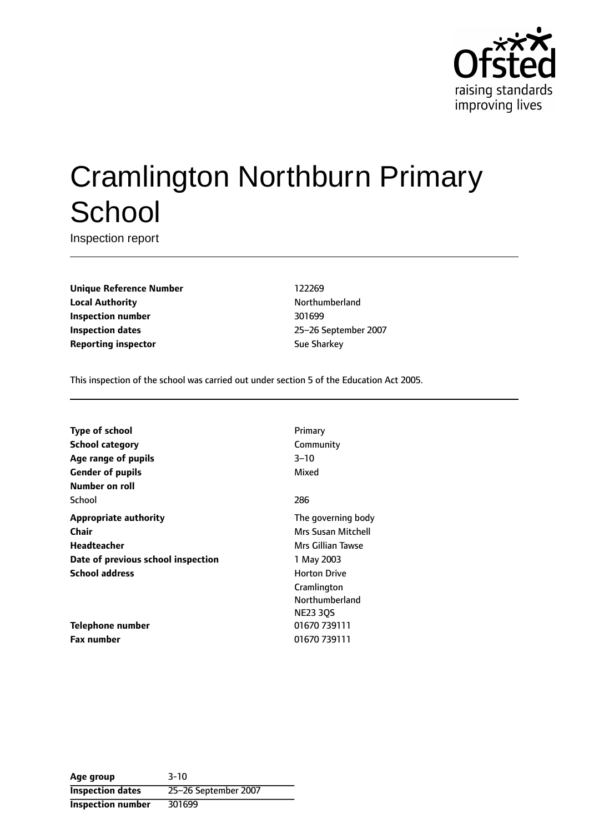

# Cramlington Northburn Primary **School**

Inspection report

**Unique Reference Number** 122269 **Local Authority Northumberland Inspection number** 301699 **Inspection dates** 25-26 September 2007 **Reporting inspector** Sue Sharkey

This inspection of the school was carried out under section 5 of the Education Act 2005.

| <b>Type of school</b>              | Primary             |
|------------------------------------|---------------------|
| <b>School category</b>             | Community           |
| Age range of pupils                | $3 - 10$            |
| <b>Gender of pupils</b>            | Mixed               |
| Number on roll                     |                     |
| School                             | 286                 |
| <b>Appropriate authority</b>       | The governing body  |
| Chair                              | Mrs Susan Mitchell  |
| Headteacher                        | Mrs Gillian Tawse   |
| Date of previous school inspection | 1 May 2003          |
| <b>School address</b>              | <b>Horton Drive</b> |
|                                    | Cramlington         |
|                                    | Northumberland      |
|                                    | <b>NE23 30S</b>     |
| Telephone number                   | 01670 739111        |
| <b>Fax number</b>                  | 01670 739111        |

**Age group** 3-10 **Inspection dates** 25-26 September 2007 **Inspection number** 301699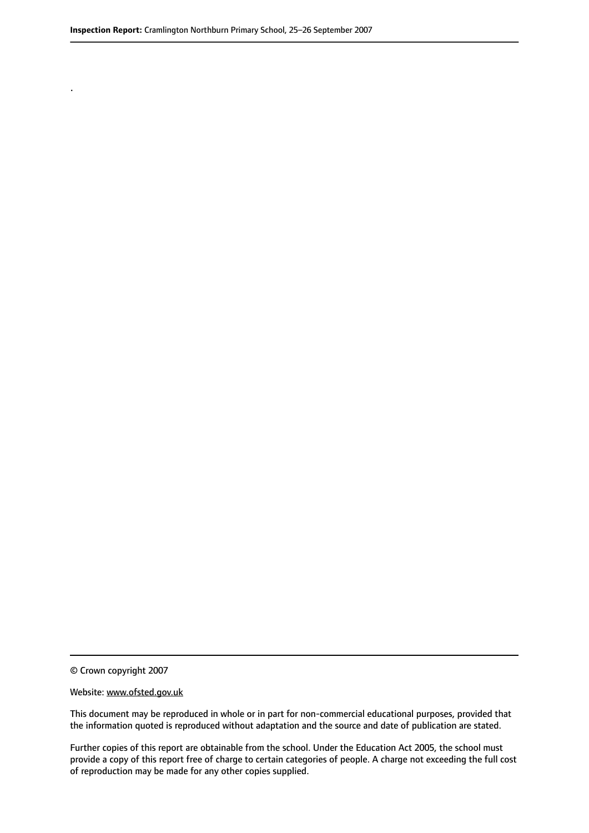.

© Crown copyright 2007

#### Website: www.ofsted.gov.uk

This document may be reproduced in whole or in part for non-commercial educational purposes, provided that the information quoted is reproduced without adaptation and the source and date of publication are stated.

Further copies of this report are obtainable from the school. Under the Education Act 2005, the school must provide a copy of this report free of charge to certain categories of people. A charge not exceeding the full cost of reproduction may be made for any other copies supplied.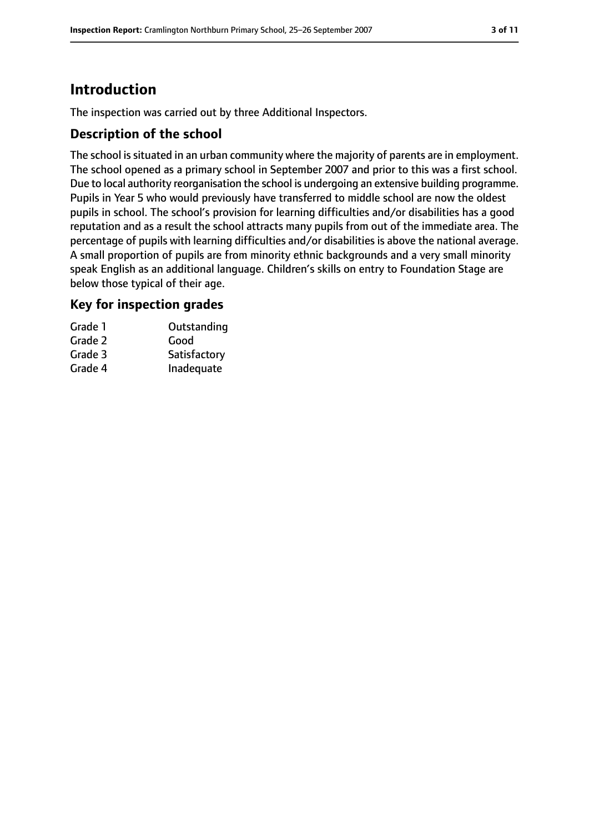## **Introduction**

The inspection was carried out by three Additional Inspectors.

#### **Description of the school**

The school is situated in an urban community where the majority of parents are in employment. The school opened as a primary school in September 2007 and prior to this was a first school. Due to local authority reorganisation the school is undergoing an extensive building programme. Pupils in Year 5 who would previously have transferred to middle school are now the oldest pupils in school. The school's provision for learning difficulties and/or disabilities has a good reputation and as a result the school attracts many pupils from out of the immediate area. The percentage of pupils with learning difficulties and/or disabilities is above the national average. A small proportion of pupils are from minority ethnic backgrounds and a very small minority speak English as an additional language. Children's skills on entry to Foundation Stage are below those typical of their age.

#### **Key for inspection grades**

| Grade 1 | Outstanding  |
|---------|--------------|
| Grade 2 | Good         |
| Grade 3 | Satisfactory |
| Grade 4 | Inadequate   |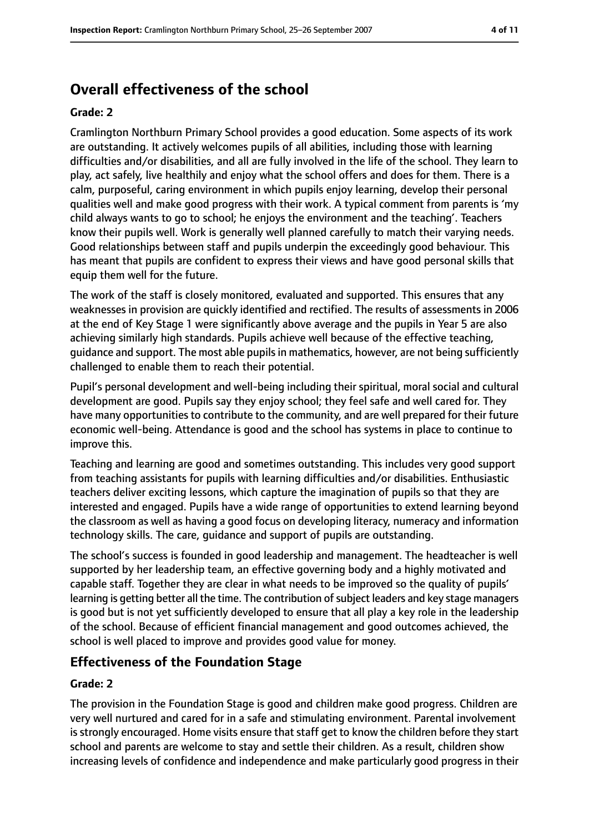# **Overall effectiveness of the school**

#### **Grade: 2**

Cramlington Northburn Primary School provides a good education. Some aspects of its work are outstanding. It actively welcomes pupils of all abilities, including those with learning difficulties and/or disabilities, and all are fully involved in the life of the school. They learn to play, act safely, live healthily and enjoy what the school offers and does for them. There is a calm, purposeful, caring environment in which pupils enjoy learning, develop their personal qualities well and make good progress with their work. A typical comment from parents is 'my child always wants to go to school; he enjoys the environment and the teaching'. Teachers know their pupils well. Work is generally well planned carefully to match their varying needs. Good relationships between staff and pupils underpin the exceedingly good behaviour. This has meant that pupils are confident to express their views and have good personal skills that equip them well for the future.

The work of the staff is closely monitored, evaluated and supported. This ensures that any weaknesses in provision are quickly identified and rectified. The results of assessments in 2006 at the end of Key Stage 1 were significantly above average and the pupils in Year 5 are also achieving similarly high standards. Pupils achieve well because of the effective teaching, guidance and support. The most able pupilsin mathematics, however, are not being sufficiently challenged to enable them to reach their potential.

Pupil's personal development and well-being including their spiritual, moral social and cultural development are good. Pupils say they enjoy school; they feel safe and well cared for. They have many opportunities to contribute to the community, and are well prepared for their future economic well-being. Attendance is good and the school has systems in place to continue to improve this.

Teaching and learning are good and sometimes outstanding. This includes very good support from teaching assistants for pupils with learning difficulties and/or disabilities. Enthusiastic teachers deliver exciting lessons, which capture the imagination of pupils so that they are interested and engaged. Pupils have a wide range of opportunities to extend learning beyond the classroom as well as having a good focus on developing literacy, numeracy and information technology skills. The care, guidance and support of pupils are outstanding.

The school's success is founded in good leadership and management. The headteacher is well supported by her leadership team, an effective governing body and a highly motivated and capable staff. Together they are clear in what needs to be improved so the quality of pupils' learning is getting better all the time. The contribution of subject leaders and key stage managers is good but is not yet sufficiently developed to ensure that all play a key role in the leadership of the school. Because of efficient financial management and good outcomes achieved, the school is well placed to improve and provides good value for money.

#### **Effectiveness of the Foundation Stage**

#### **Grade: 2**

The provision in the Foundation Stage is good and children make good progress. Children are very well nurtured and cared for in a safe and stimulating environment. Parental involvement is strongly encouraged. Home visits ensure that staff get to know the children before they start school and parents are welcome to stay and settle their children. As a result, children show increasing levels of confidence and independence and make particularly good progress in their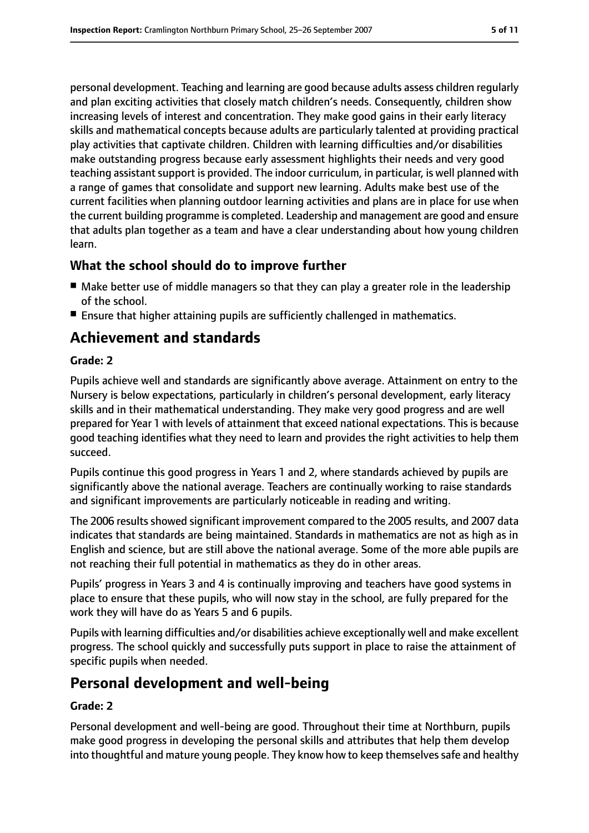personal development. Teaching and learning are good because adults assess children regularly and plan exciting activities that closely match children's needs. Consequently, children show increasing levels of interest and concentration. They make good gains in their early literacy skills and mathematical concepts because adults are particularly talented at providing practical play activities that captivate children. Children with learning difficulties and/or disabilities make outstanding progress because early assessment highlights their needs and very good teaching assistant support is provided. The indoor curriculum, in particular, is well planned with a range of games that consolidate and support new learning. Adults make best use of the current facilities when planning outdoor learning activities and plans are in place for use when the current building programme is completed. Leadership and management are good and ensure that adults plan together as a team and have a clear understanding about how young children learn.

## **What the school should do to improve further**

- Make better use of middle managers so that they can play a greater role in the leadership of the school.
- Ensure that higher attaining pupils are sufficiently challenged in mathematics.

## **Achievement and standards**

#### **Grade: 2**

Pupils achieve well and standards are significantly above average. Attainment on entry to the Nursery is below expectations, particularly in children's personal development, early literacy skills and in their mathematical understanding. They make very good progress and are well prepared for Year 1 with levels of attainment that exceed national expectations. This is because good teaching identifies what they need to learn and provides the right activities to help them succeed.

Pupils continue this good progress in Years 1 and 2, where standards achieved by pupils are significantly above the national average. Teachers are continually working to raise standards and significant improvements are particularly noticeable in reading and writing.

The 2006 results showed significant improvement compared to the 2005 results, and 2007 data indicates that standards are being maintained. Standards in mathematics are not as high as in English and science, but are still above the national average. Some of the more able pupils are not reaching their full potential in mathematics as they do in other areas.

Pupils' progress in Years 3 and 4 is continually improving and teachers have good systems in place to ensure that these pupils, who will now stay in the school, are fully prepared for the work they will have do as Years 5 and 6 pupils.

Pupils with learning difficulties and/or disabilities achieve exceptionally well and make excellent progress. The school quickly and successfully puts support in place to raise the attainment of specific pupils when needed.

## **Personal development and well-being**

#### **Grade: 2**

Personal development and well-being are good. Throughout their time at Northburn, pupils make good progress in developing the personal skills and attributes that help them develop into thoughtful and mature young people. They know how to keep themselves safe and healthy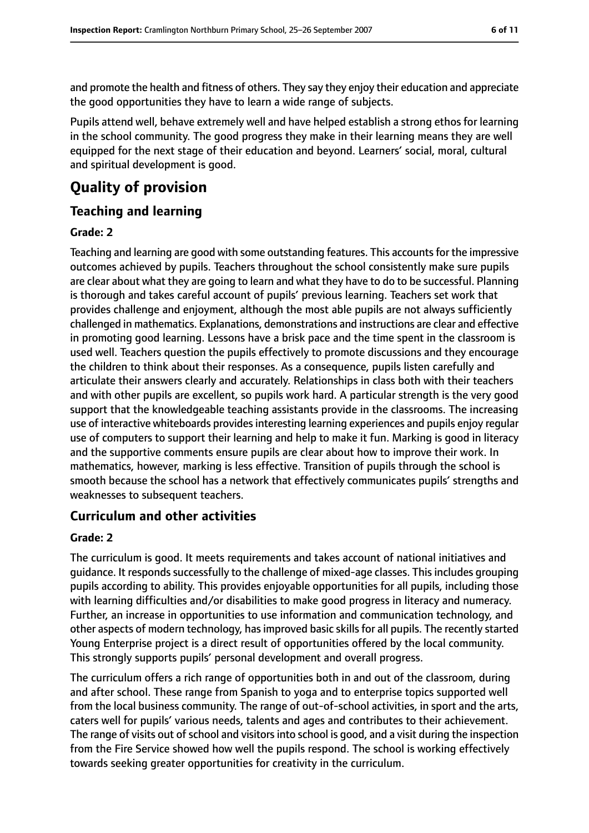and promote the health and fitness of others. They say they enjoy their education and appreciate the good opportunities they have to learn a wide range of subjects.

Pupils attend well, behave extremely well and have helped establish a strong ethos for learning in the school community. The good progress they make in their learning means they are well equipped for the next stage of their education and beyond. Learners' social, moral, cultural and spiritual development is good.

## **Quality of provision**

#### **Teaching and learning**

#### **Grade: 2**

Teaching and learning are good with some outstanding features. This accountsfor the impressive outcomes achieved by pupils. Teachers throughout the school consistently make sure pupils are clear about what they are going to learn and what they have to do to be successful. Planning is thorough and takes careful account of pupils' previous learning. Teachers set work that provides challenge and enjoyment, although the most able pupils are not always sufficiently challenged in mathematics. Explanations, demonstrations and instructions are clear and effective in promoting good learning. Lessons have a brisk pace and the time spent in the classroom is used well. Teachers question the pupils effectively to promote discussions and they encourage the children to think about their responses. As a consequence, pupils listen carefully and articulate their answers clearly and accurately. Relationships in class both with their teachers and with other pupils are excellent, so pupils work hard. A particular strength is the very good support that the knowledgeable teaching assistants provide in the classrooms. The increasing use of interactive whiteboards provides interesting learning experiences and pupils enjoy regular use of computers to support their learning and help to make it fun. Marking is good in literacy and the supportive comments ensure pupils are clear about how to improve their work. In mathematics, however, marking is less effective. Transition of pupils through the school is smooth because the school has a network that effectively communicates pupils' strengths and weaknesses to subsequent teachers.

#### **Curriculum and other activities**

#### **Grade: 2**

The curriculum is good. It meets requirements and takes account of national initiatives and guidance. It responds successfully to the challenge of mixed-age classes. This includes grouping pupils according to ability. This provides enjoyable opportunities for all pupils, including those with learning difficulties and/or disabilities to make good progress in literacy and numeracy. Further, an increase in opportunities to use information and communication technology, and other aspects of modern technology, has improved basic skills for all pupils. The recently started Young Enterprise project is a direct result of opportunities offered by the local community. This strongly supports pupils' personal development and overall progress.

The curriculum offers a rich range of opportunities both in and out of the classroom, during and after school. These range from Spanish to yoga and to enterprise topics supported well from the local business community. The range of out-of-school activities, in sport and the arts, caters well for pupils' various needs, talents and ages and contributes to their achievement. The range of visits out of school and visitors into school is good, and a visit during the inspection from the Fire Service showed how well the pupils respond. The school is working effectively towards seeking greater opportunities for creativity in the curriculum.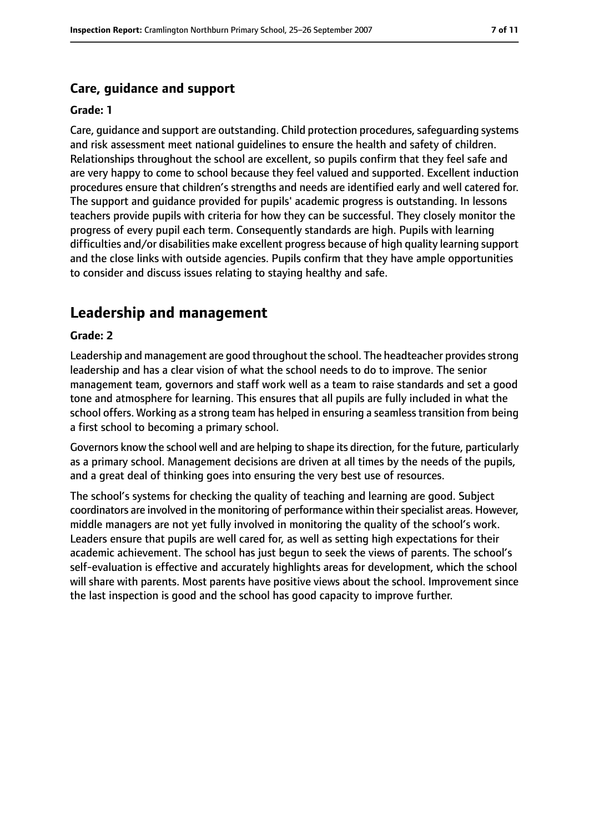## **Care, guidance and support**

#### **Grade: 1**

Care, quidance and support are outstanding. Child protection procedures, safeguarding systems and risk assessment meet national guidelines to ensure the health and safety of children. Relationships throughout the school are excellent, so pupils confirm that they feel safe and are very happy to come to school because they feel valued and supported. Excellent induction procedures ensure that children's strengths and needs are identified early and well catered for. The support and guidance provided for pupils' academic progress is outstanding. In lessons teachers provide pupils with criteria for how they can be successful. They closely monitor the progress of every pupil each term. Consequently standards are high. Pupils with learning difficulties and/or disabilities make excellent progress because of high quality learning support and the close links with outside agencies. Pupils confirm that they have ample opportunities to consider and discuss issues relating to staying healthy and safe.

## **Leadership and management**

#### **Grade: 2**

Leadership and management are good throughout the school. The headteacher provides strong leadership and has a clear vision of what the school needs to do to improve. The senior management team, governors and staff work well as a team to raise standards and set a good tone and atmosphere for learning. This ensures that all pupils are fully included in what the school offers. Working as a strong team has helped in ensuring a seamless transition from being a first school to becoming a primary school.

Governors know the school well and are helping to shape its direction, for the future, particularly as a primary school. Management decisions are driven at all times by the needs of the pupils, and a great deal of thinking goes into ensuring the very best use of resources.

The school's systems for checking the quality of teaching and learning are good. Subject coordinators are involved in the monitoring of performance within their specialist areas. However, middle managers are not yet fully involved in monitoring the quality of the school's work. Leaders ensure that pupils are well cared for, as well as setting high expectations for their academic achievement. The school has just begun to seek the views of parents. The school's self-evaluation is effective and accurately highlights areas for development, which the school will share with parents. Most parents have positive views about the school. Improvement since the last inspection is good and the school has good capacity to improve further.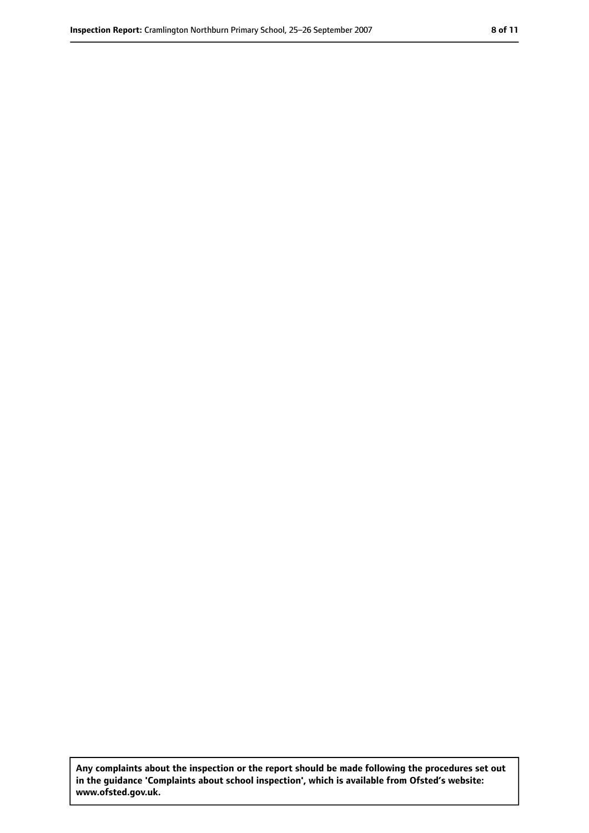**Any complaints about the inspection or the report should be made following the procedures set out in the guidance 'Complaints about school inspection', which is available from Ofsted's website: www.ofsted.gov.uk.**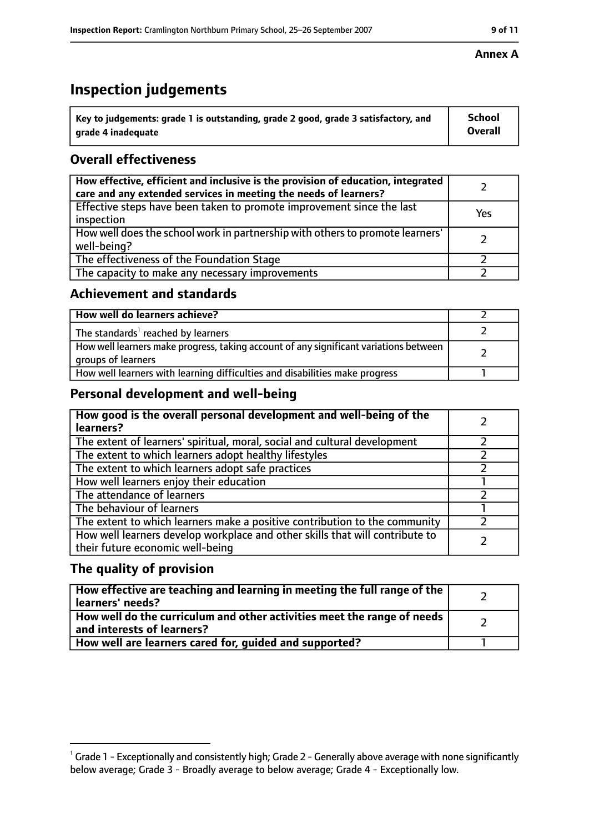# **Inspection judgements**

| $^{\backprime}$ Key to judgements: grade 1 is outstanding, grade 2 good, grade 3 satisfactory, and | <b>School</b>  |
|----------------------------------------------------------------------------------------------------|----------------|
| arade 4 inadequate                                                                                 | <b>Overall</b> |

## **Overall effectiveness**

| How effective, efficient and inclusive is the provision of education, integrated<br>care and any extended services in meeting the needs of learners? |     |
|------------------------------------------------------------------------------------------------------------------------------------------------------|-----|
| Effective steps have been taken to promote improvement since the last<br>inspection                                                                  | Yes |
| How well does the school work in partnership with others to promote learners'<br>well-being?                                                         |     |
| The effectiveness of the Foundation Stage                                                                                                            |     |
| The capacity to make any necessary improvements                                                                                                      |     |

#### **Achievement and standards**

| How well do learners achieve?                                                                               |  |
|-------------------------------------------------------------------------------------------------------------|--|
| The standards <sup>1</sup> reached by learners                                                              |  |
| How well learners make progress, taking account of any significant variations between<br>groups of learners |  |
| How well learners with learning difficulties and disabilities make progress                                 |  |

#### **Personal development and well-being**

| How good is the overall personal development and well-being of the<br>learners?                                  |  |
|------------------------------------------------------------------------------------------------------------------|--|
| The extent of learners' spiritual, moral, social and cultural development                                        |  |
| The extent to which learners adopt healthy lifestyles                                                            |  |
| The extent to which learners adopt safe practices                                                                |  |
| How well learners enjoy their education                                                                          |  |
| The attendance of learners                                                                                       |  |
| The behaviour of learners                                                                                        |  |
| The extent to which learners make a positive contribution to the community                                       |  |
| How well learners develop workplace and other skills that will contribute to<br>their future economic well-being |  |

#### **The quality of provision**

| How effective are teaching and learning in meeting the full range of the<br>learners' needs?          |  |
|-------------------------------------------------------------------------------------------------------|--|
| How well do the curriculum and other activities meet the range of needs<br>and interests of learners? |  |
| How well are learners cared for, quided and supported?                                                |  |

#### **Annex A**

 $^1$  Grade 1 - Exceptionally and consistently high; Grade 2 - Generally above average with none significantly below average; Grade 3 - Broadly average to below average; Grade 4 - Exceptionally low.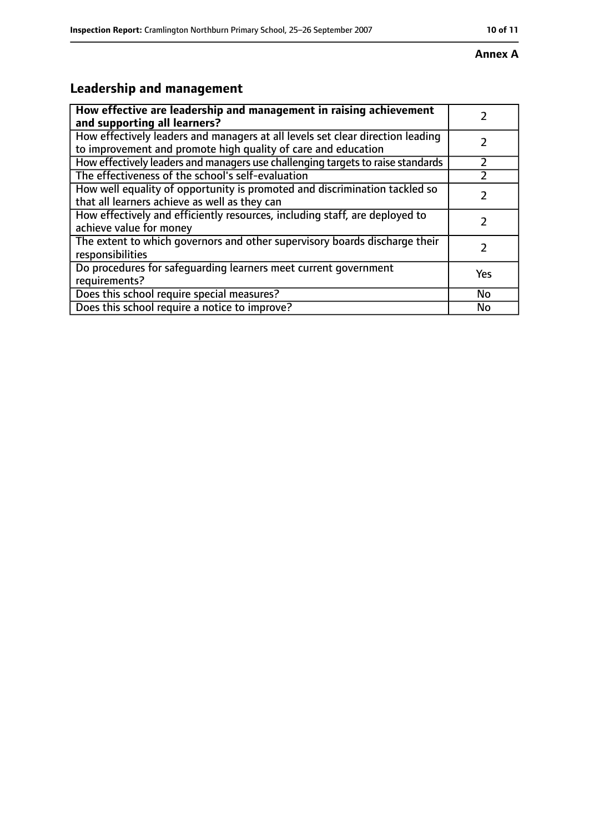#### **Annex A**

# **Leadership and management**

| How effective are leadership and management in raising achievement<br>and supporting all learners?                                              |           |
|-------------------------------------------------------------------------------------------------------------------------------------------------|-----------|
| How effectively leaders and managers at all levels set clear direction leading<br>to improvement and promote high quality of care and education |           |
| How effectively leaders and managers use challenging targets to raise standards                                                                 |           |
| The effectiveness of the school's self-evaluation                                                                                               |           |
| How well equality of opportunity is promoted and discrimination tackled so<br>that all learners achieve as well as they can                     |           |
| How effectively and efficiently resources, including staff, are deployed to<br>achieve value for money                                          | 7         |
| The extent to which governors and other supervisory boards discharge their<br>responsibilities                                                  |           |
| Do procedures for safequarding learners meet current government<br>requirements?                                                                | Yes       |
| Does this school require special measures?                                                                                                      | <b>No</b> |
| Does this school require a notice to improve?                                                                                                   | No        |